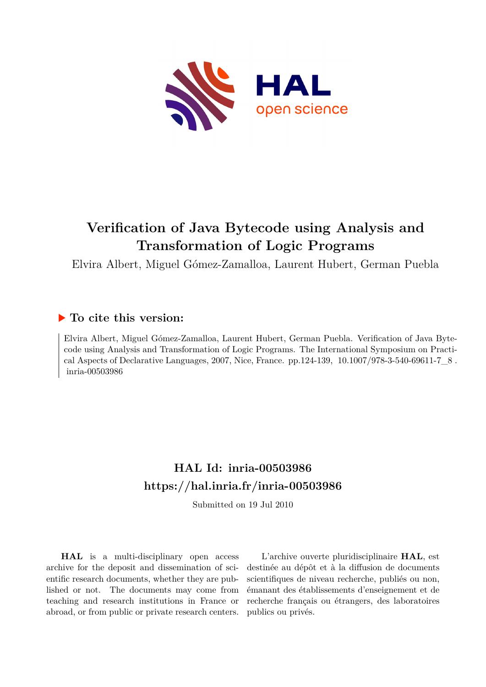

# **Verification of Java Bytecode using Analysis and Transformation of Logic Programs**

Elvira Albert, Miguel Gómez-Zamalloa, Laurent Hubert, German Puebla

# **To cite this version:**

Elvira Albert, Miguel Gómez-Zamalloa, Laurent Hubert, German Puebla. Verification of Java Bytecode using Analysis and Transformation of Logic Programs. The International Symposium on Practical Aspects of Declarative Languages, 2007, Nice, France. pp.124-139,  $10.1007/978-3-540-69611-7\_8$ . inria-00503986

# **HAL Id: inria-00503986 <https://hal.inria.fr/inria-00503986>**

Submitted on 19 Jul 2010

**HAL** is a multi-disciplinary open access archive for the deposit and dissemination of scientific research documents, whether they are published or not. The documents may come from teaching and research institutions in France or abroad, or from public or private research centers.

L'archive ouverte pluridisciplinaire **HAL**, est destinée au dépôt et à la diffusion de documents scientifiques de niveau recherche, publiés ou non, émanant des établissements d'enseignement et de recherche français ou étrangers, des laboratoires publics ou privés.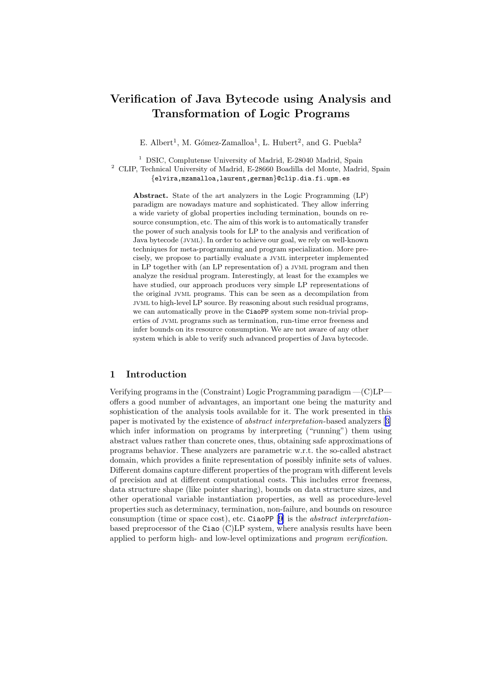# Verification of Java Bytecode using Analysis and Transformation of Logic Programs

E. Albert<sup>1</sup>, M. Gómez-Zamalloa<sup>1</sup>, L. Hubert<sup>2</sup>, and G. Puebla<sup>2</sup>

<sup>1</sup> DSIC, Complutense University of Madrid, E-28040 Madrid, Spain  $^{\rm 2}$  CLIP, Technical University of Madrid, E-28660 Boadilla del Monte, Madrid, Spain {elvira,mzamalloa,laurent,german}@clip.dia.fi.upm.es

Abstract. State of the art analyzers in the Logic Programming (LP) paradigm are nowadays mature and sophisticated. They allow inferring a wide variety of global properties including termination, bounds on resource consumption, etc. The aim of this work is to automatically transfer the power of such analysis tools for LP to the analysis and verification of Java bytecode (jvml). In order to achieve our goal, we rely on well-known techniques for meta-programming and program specialization. More precisely, we propose to partially evaluate a jvml interpreter implemented in LP together with (an LP representation of) a jvml program and then analyze the residual program. Interestingly, at least for the examples we have studied, our approach produces very simple LP representations of the original jvml programs. This can be seen as a decompilation from jvml to high-level LP source. By reasoning about such residual programs, we can automatically prove in the CiaoPP system some non-trivial properties of jvml programs such as termination, run-time error freeness and infer bounds on its resource consumption. We are not aware of any other system which is able to verify such advanced properties of Java bytecode.

## 1 Introduction

Verifying programs in the (Constraint) Logic Programming paradigm —(C)LP offers a good number of advantages, an important one being the maturity and sophistication of the analysis tools available for it. The work presented in this paper is motivated by the existence of *abstract interpretation*-based analyzers[[3\]](#page-15-0) which infer information on programs by interpreting ("running") them using abstract values rather than concrete ones, thus, obtaining safe approximations of programs behavior. These analyzers are parametric w.r.t. the so-called abstract domain, which provides a finite representation of possibly infinite sets of values. Different domains capture different properties of the program with different levels of precision and at different computational costs. This includes error freeness, data structure shape (like pointer sharing), bounds on data structure sizes, and other operational variable instantiation properties, as well as procedure-level properties such as determinacy, termination, non-failure, and bounds on resource consumption (time or space cost), etc. CiaoPP [[9\]](#page-15-0) is the *abstract interpretation*based preprocessor of the Ciao (C)LP system, where analysis results have been applied to perform high- and low-level optimizations and *program verification*.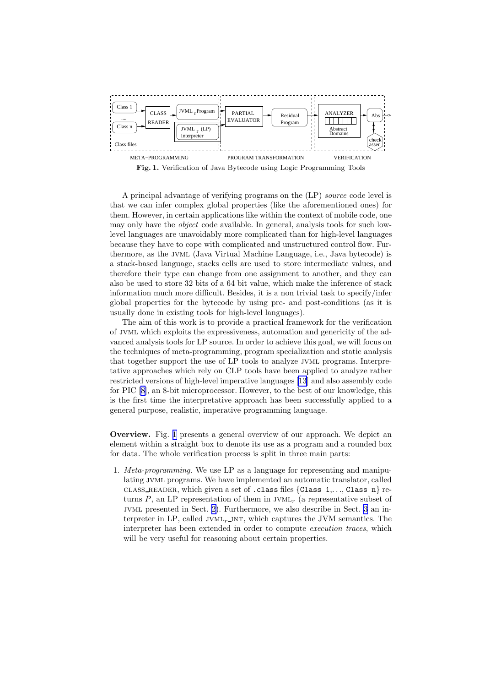

Fig. 1. Verification of Java Bytecode using Logic Programming Tools

A principal advantage of verifying programs on the (LP) *source* code level is that we can infer complex global properties (like the aforementioned ones) for them. However, in certain applications like within the context of mobile code, one may only have the *object* code available. In general, analysis tools for such lowlevel languages are unavoidably more complicated than for high-level languages because they have to cope with complicated and unstructured control flow. Furthermore, as the jvml (Java Virtual Machine Language, i.e., Java bytecode) is a stack-based language, stacks cells are used to store intermediate values, and therefore their type can change from one assignment to another, and they can also be used to store 32 bits of a 64 bit value, which make the inference of stack information much more difficult. Besides, it is a non trivial task to specify/infer global properties for the bytecode by using pre- and post-conditions (as it is usually done in existing tools for high-level languages).

The aim of this work is to provide a practical framework for the verification of jvml which exploits the expressiveness, automation and genericity of the advanced analysis tools for LP source. In order to achieve this goal, we will focus on the techniques of meta-programming, program specialization and static analysis that together support the use of LP tools to analyze jvml programs. Interpretative approaches which rely on CLP tools have been applied to analyze rather restricted versions of high-level imperative languages [\[13](#page-15-0)] and also assembly code for PIC[[8\]](#page-15-0), an 8-bit microprocessor. However, to the best of our knowledge, this is the first time the interpretative approach has been successfully applied to a general purpose, realistic, imperative programming language.

Overview. Fig. 1 presents a general overview of our approach. We depict an element within a straight box to denote its use as a program and a rounded box for data. The whole verification process is split in three main parts:

1. *Meta-programming.* We use LP as a language for representing and manipulating jvml programs. We have implemented an automatic translator, called CLASS\_READER, which given a set of .class files  $\{Class 1, \ldots, Class n\}$  returns P, an LP representation of them in  $JVML_r$  (a representative subset of jvml presented in Sect. [2\)](#page-3-0). Furthermore, we also describe in Sect. [3](#page-6-0) an interpreter in LP, called JVML<sub>r</sub>\_INT, which captures the JVM semantics. The interpreter has been extended in order to compute *execution traces*, which will be very useful for reasoning about certain properties.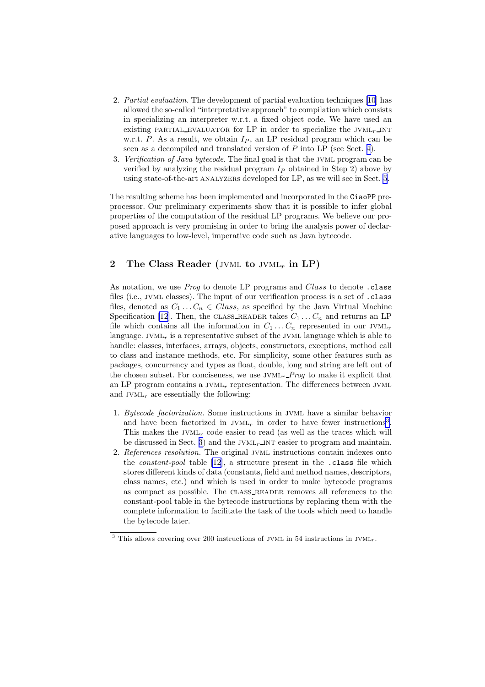- <span id="page-3-0"></span>2. *Partial evaluation.* The development of partial evaluation techniques[[10\]](#page-15-0) has allowed the so-called "interpretative approach" to compilation which consists in specializing an interpreter w.r.t. a fixed object code. We have used an existing PARTIAL EVALUATOR for LP in order to specialize the  $JVML_r_N$ INT w.r.t. P. As a result, we obtain  $I_P$ , an LP residual program which can be seen as a decompiled and translated version of P into LP (see Sect. [4\)](#page-7-0).
- 3. *Verification of Java bytecode*. The final goal is that the jvml program can be verified by analyzing the residual program  $I_P$  obtained in Step 2) above by using state-of-the-art analyzers developed for LP, as we will see in Sect. [5](#page-10-0).

The resulting scheme has been implemented and incorporated in the CiaoPP preprocessor. Our preliminary experiments show that it is possible to infer global properties of the computation of the residual LP programs. We believe our proposed approach is very promising in order to bring the analysis power of declarative languages to low-level, imperative code such as Java bytecode.

# 2 The Class Reader (JVML to JVML<sub>r</sub> in  $LP$ )

As notation, we use *Prog* to denote LP programs and Class to denote .class files (i.e., jvml classes). The input of our verification process is a set of .class files, denoted as  $C_1 \ldots C_n \in Class$ , as specified by the Java Virtual Machine Specification [\[12](#page-15-0)]. Then, the CLASS\_READER takes  $C_1 \ldots C_n$  and returns an LP file which contains all the information in  $C_1 \ldots C_n$  represented in our JVML<sub>r</sub> language. JVML<sub>r</sub> is a representative subset of the JVML language which is able to handle: classes, interfaces, arrays, objects, constructors, exceptions, method call to class and instance methods, etc. For simplicity, some other features such as packages, concurrency and types as float, double, long and string are left out of the chosen subset. For conciseness, we use  $JVML_r$  *Prog* to make it explicit that an LP program contains a  $JVML<sub>r</sub>$  representation. The differences between JVML and  $JVML<sub>r</sub>$  are essentially the following:

- 1. *Bytecode factorization.* Some instructions in jvml have a similar behavior and have been factorized in  $JVML_r$  in order to have fewer instructions<sup>3</sup>. This makes the  $JVML<sub>r</sub>$  code easier to read (as well as the traces which will be discussed in Sect. [3\)](#page-6-0) and the  $JWML_r_N$  intrastance into program and maintain.
- 2. *References resolution.* The original jvml instructions contain indexes onto the *constant-pool* table [\[12](#page-15-0)], a structure present in the .class file which stores different kinds of data (constants, field and method names, descriptors, class names, etc.) and which is used in order to make bytecode programs as compact as possible. The CLASS\_READER removes all references to the constant-pool table in the bytecode instructions by replacing them with the complete information to facilitate the task of the tools which need to handle the bytecode later.

 $3$  This allows covering over 200 instructions of JVML in 54 instructions in JVML<sub>r</sub>.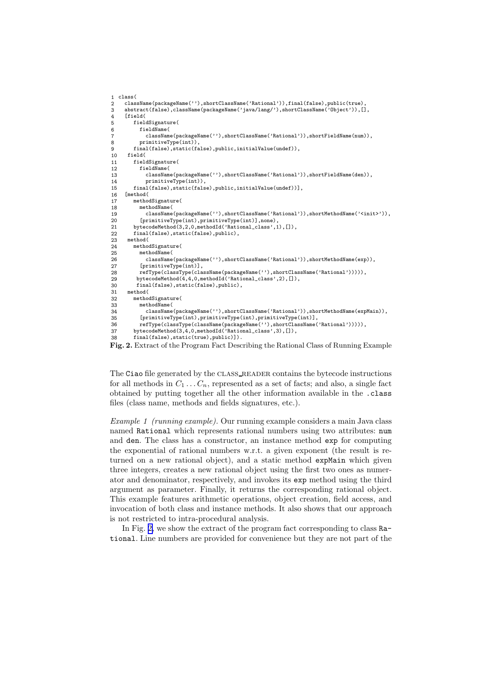```
1
class(
\overline{2}3
4
5
6
7
8
9
10
11
12
13
14
15
16
17
18
19
20
\overline{21}22
23
24
25
26
27
28
29
30
31
32
33
34
35
36
37
38
    className(packageName(''),shortClassName('Rational')),final(false),public(true),
     abstract(false),className(packageName('java/lang/'),shortClassName('Object')),[],
    [field(
       fieldSignature(
         fieldName(
           className(packageName(''),shortClassName('Rational')),shortFieldName(num)),
         primitiveType(int)),
       final(false),static(false),public,initialValue(undef)),
     field(
       fieldSignature(
         fieldName(
           className(packageName(''),shortClassName('Rational')),shortFieldName(den)),
           primitiveType(int)),
       final(false),static(false),public,initialValue(undef))],
    [method(
       methodSignature(
         methodName(
           className(packageName(''),shortClassName('Rational')),shortMethodName('<init>')),
          [primitiveType(int),primitiveType(int)],none),
       bytecodeMethod(3,2,0,methodId('Rational_class',1),[]),
       final(false),static(false),public),
     method(
       methodSignature(
         methodName(
           className(packageName(''),shortClassName('Rational')),shortMethodName(exp)),
          [primitiveType(int)],
         refType(classType(className(packageName(''),shortClassName('Rational'))))),
        bytecodeMethod(4,4,0,methodId('Rational_class',2),[]),
        final(false),static(false),public),
     method(
       methodSignature(
         methodName(
           className(packageName(''),shortClassName('Rational')),shortMethodName(expMain)),
          [primitiveType(int),primitiveType(int),primitiveType(int)]
         refType(classType(className(packageName(''),shortClassName('Rational'))))),
       bytecodeMethod(3,4,0,methodId('Rational_class',3),[]),
       final(false),static(true),public)]).
```
Fig. 2. Extract of the Program Fact Describing the Rational Class of Running Example

The Ciao file generated by the CLASS\_READER contains the bytecode instructions for all methods in  $C_1 \ldots C_n$ , represented as a set of facts; and also, a single fact obtained by putting together all the other information available in the .class files (class name, methods and fields signatures, etc.).

*Example 1 (running example).* Our running example considers a main Java class named Rational which represents rational numbers using two attributes: num and den. The class has a constructor, an instance method exp for computing the exponential of rational numbers w.r.t. a given exponent (the result is returned on a new rational object), and a static method expMain which given three integers, creates a new rational object using the first two ones as numerator and denominator, respectively, and invokes its exp method using the third argument as parameter. Finally, it returns the corresponding rational object. This example features arithmetic operations, object creation, field access, and invocation of both class and instance methods. It also shows that our approach is not restricted to intra-procedural analysis.

In Fig. 2, we show the extract of the program fact corresponding to class Rational. Line numbers are provided for convenience but they are not part of the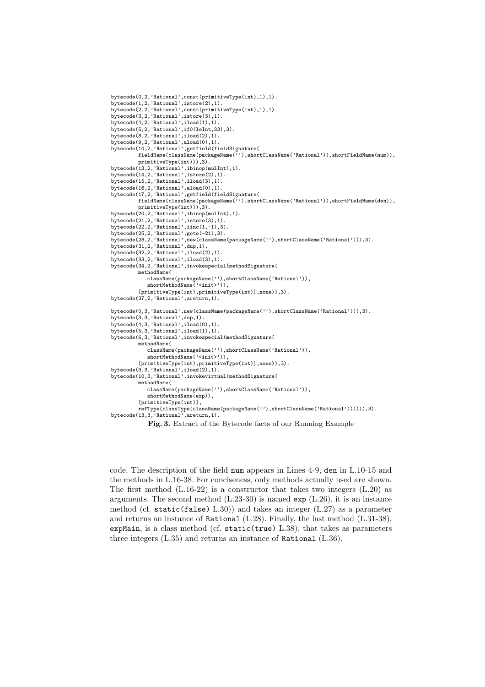```
bytecode(0,2,'Rational',const(primitiveType(int),1),1).
bytecode(1,2,'Rational',istore(2),1).
bytecode(2,2,'Rational',const(primitiveType(int),1),1).
bytecode(3,2,'Rational',istore(3),1).
bytecode(4,2,'Rational',iload(1),1).
bytecode(5,2,'Rational',if0(leInt,23),3).
bytecode(8,2,'Rational',iload(2),1).
bytecode(9,2,'Rational',aload(0),1).
bytecode(10,2,'Rational',getfield(fieldSignature(
          fieldName(className(packageName(''),shortClassName('Rational')),shortFieldName(num)),
          primitiveType(int))),3).
bytecode(13,2,'Rational',ibinop(mulInt),1).
bytecode(14,2,'Rational',istore(2),1).
bytecode(15,2,'Rational',iload(3),1).
bytecode(16,2,'Rational',aload(0),1).
bytecode(17,2,'Rational',getfield(fieldSignature(
fieldName(className(packageName(''),shortClassName('Rational')),shortFieldName(den)),
primitiveType(int))),3).
bytecode(20,2,'Rational',ibinop(mulInt),1).
bytecode(21,2,'Rational',istore(3),1).
bytecode(22,2,'Rational',iinc(1,-1),3).
bytecode(25,2,'Rational',goto(-21),3).
bytecode(28,2,'Rational',new(className(packageName(''),shortClassName('Rational'))),3).
bytecode(31,2,'Rational',dup,1).
bytecode(32,2,'Rational',iload(2),1).
bytecode(33,2,'Rational',iload(3),1).
bytecode(34,2,'Rational',invokespecial(methodSignature(
          methodName(
              className(packageName(''),shortClassName('Rational')),
              shortMethodName('<init>')),
          [primitiveType(int),primitiveType(int)],none)),3).
bytecode(37,2,'Rational',areturn,1).
bytecode(0,3,'Rational',new(className(packageName(''),shortClassName('Rational'))),3).
bytecode(3,3,'Rational',dup,1).
bytecode(4,3,'Rational',iload(0),1).
bytecode(5,3,'Rational',iload(1),1).
bytecode(6,3,'Rational',invokespecial(methodSignature(
          methodName(
             className(packageName(''),shortClassName('Rational')),
             shortMethodName('<init>'))
          [primitiveType(int),primitiveType(int)],none)),3).
bytecode(9,3,'Rational',iload(2),1).
bytecode(10,3,'Rational',invokevirtual(methodSignature(
          methodName(
             className(packageName(''),shortClassName('Rational')),
             shortMethodName(exp)),
          [primitiveType(int)],
          refType(classType(className(packageName(''),shortClassName('Rational')))))),3).
bytecode(13,3,'Rational',areturn,1).
```
Fig. 3. Extract of the Bytecode facts of our Running Example

code. The description of the field num appears in Lines 4-9, den in L.10-15 and the methods in L.16-38. For conciseness, only methods actually used are shown. The first method  $(L.16-22)$  is a constructor that takes two integers  $(L.20)$  as arguments. The second method  $(L.23-30)$  is named  $exp(L.26)$ , it is an instance method (cf. static(false)  $L.30$ )) and takes an integer  $(L.27)$  as a parameter and returns an instance of Rational (L.28). Finally, the last method (L.31-38), expMain, is a class method (cf. static(true)  $L.38$ ), that takes as parameters three integers (L.35) and returns an instance of Rational (L.36).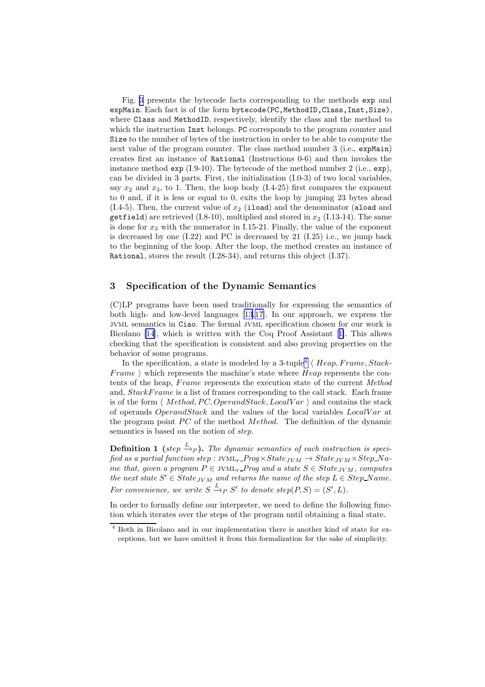<span id="page-6-0"></span>Fig. [3](#page-5-0) presents the bytecode facts corresponding to the methods exp and expMain. Each fact is of the form bytecode(PC,MethodID,Class,Inst,Size), where Class and MethodID, respectively, identify the class and the method to which the instruction Inst belongs. PC corresponds to the program counter and Size to the number of bytes of the instruction in order to be able to compute the next value of the program counter. The class method number 3 (i.e., expMain) creates first an instance of Rational (Instructions 0-6) and then invokes the instance method  $exp(1.9-10)$ . The bytecode of the method number 2 (i.e.,  $exp$ ), can be divided in 3 parts. First, the initialization (I.0-3) of two local variables, say  $x_2$  and  $x_3$ , to 1. Then, the loop body  $(1.4-25)$  first compares the exponent to 0 and, if it is less or equal to 0, exits the loop by jumping 23 bytes ahead  $(1.4-5)$ . Then, the current value of  $x_2$  (iload) and the denominator (aload and getfield) are retrieved  $(I.8-10)$ , multiplied and stored in  $x_2$  (I.13-14). The same is done for  $x_3$  with the numerator in I.15-21. Finally, the value of the exponent is decreased by one (I.22) and PC is decreased by 21 (I.25) i.e., we jump back to the beginning of the loop. After the loop, the method creates an instance of Rational, stores the result (I.28-34), and returns this object (I.37).

### 3 Specification of the Dynamic Semantics

(C)LP programs have been used traditionally for expressing the semantics of both high- and low-level languages [\[13](#page-15-0),[17\]](#page-15-0). In our approach, we express the jvml semantics in Ciao. The formal jvml specification chosen for our work is Bicolano [\[14](#page-15-0)], which is written with the Coq Proof Assistant[[1\]](#page-15-0). This allows checking that the specification is consistent and also proving properties on the behavior of some programs.

In the specification, a state is modeled by a 3-tuple<sup>4</sup>  $\langle$  Heap, Frame, Stack-Frame  $\rangle$  which represents the machine's state where Heap represents the contents of the heap, Frame represents the execution state of the current *Method* and, *StackFrame* is a list of frames corresponding to the call stack. Each frame is of the form  $\langle Method, PC, OperandStack, LocalVar \rangle$  and contains the stack of operands OperandStack and the values of the local variables LocalVar at the program point  $PC$  of the method Method. The definition of the dynamic semantics is based on the notion of *step*.

**Definition 1** (step  $\stackrel{L}{\rightarrow}$  p). The dynamic semantics of each instruction is speci*fied as a partial function step* :  $JVML_r$ *Prog*  $\times State_{JVM}$   $\rightarrow State_{JVM} \times Step_Na$ me *that, given a program*  $P$  ∈ JVML<sub>r</sub>\_Prog and a state  $S$  ∈ State<sub>JVM</sub>, computes *the next state*  $S' \in State_{JVM}$  *and returns the name of the step*  $L \in Step\_Name$ . For convenience, we write  $S \xrightarrow{L} P S'$  to denote  $step(P, S) = (S', L)$ .

In order to formally define our interpreter, we need to define the following function which iterates over the steps of the program until obtaining a final state.

<sup>4</sup> Both in Bicolano and in our implementation there is another kind of state for exceptions, but we have omitted it from this formalization for the sake of simplicity.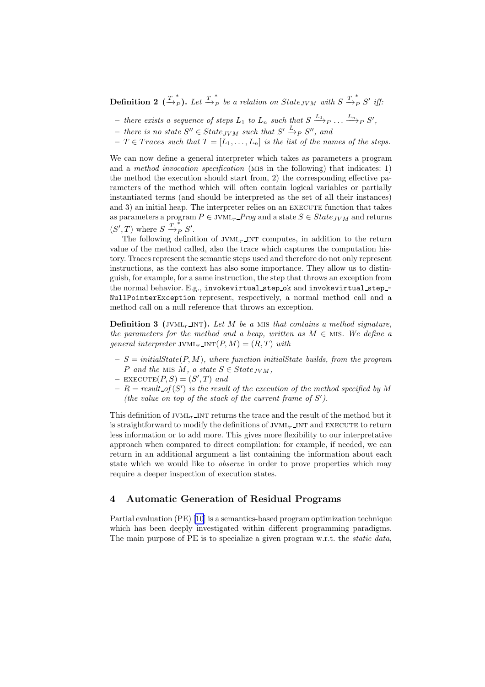<span id="page-7-0"></span>Definition 2  $( \frac{ T }{ \rightarrow }$ <sup>\*</sup><sub>P</sub>). Let  $\stackrel{T}{\rightarrow}$ ∗  $_{P}^{*}$  be a relation on State<sub>JVM</sub> with  $S \stackrel{T}{\rightarrow}$ ∗ <sup>P</sup> S ′ *iff:*

- $-$  *there exists a sequence of steps*  $L_1$  *to*  $L_n$  *such that*  $S \xrightarrow{L_1}_{P} \ldots \xrightarrow{L_n}_{P} S'$ ,
- − *there is no state*  $S''$  ∈ State<sub>JVM</sub> such that  $S' \stackrel{L}{\rightarrow} P S''$ , and
- $-I \in Traces$  *such that*  $T = [L_1, \ldots, L_n]$  *is the list of the names of the steps.*

We can now define a general interpreter which takes as parameters a program and a *method invocation specification* (MIS in the following) that indicates: 1) the method the execution should start from, 2) the corresponding effective parameters of the method which will often contain logical variables or partially instantiated terms (and should be interpreted as the set of all their instances) and 3) an initial heap. The interpreter relies on an execute function that takes as parameters a program  $P \in JVML_r$ *Prog* and a state  $S \in State_{JVM}$  and returns  $(S', T)$  where  $S \stackrel{T}{\rightarrow}$ ∗  $\int\limits_P^{\scriptscriptstyle\ast} S'.$ 

The following definition of  $JVML_r_N$  INT computes, in addition to the return value of the method called, also the trace which captures the computation history. Traces represent the semantic steps used and therefore do not only represent instructions, as the context has also some importance. They allow us to distinguish, for example, for a same instruction, the step that throws an exception from the normal behavior. E.g., invokevirtual step ok and invokevirtual step -NullPointerException represent, respectively, a normal method call and a method call on a null reference that throws an exception.

**Definition 3** (JVML<sub>r</sub>\_INT). Let M be a MIS that contains a method signature, *the parameters for the method and a heap, written as*  $M \in \text{MIS}$ *. We define a general interpreter*  $JVML_r_N(T, M) = (R, T)$  *with* 

- S = *initialState*(P, M)*, where function initialState builds, from the program* P and the MIS M, a state  $S \in State_{JVM}$ ,
- $-$  EXECUTE $(P, S) = (S', T)$  and
- $-R = result\_of(S')$  is the result of the execution of the method specified by M (the value on top of the stack of the current frame of  $S'$ ).

This definition of JVML<sub>r</sub> INT returns the trace and the result of the method but it is straightforward to modify the definitions of  $JVML_r$  INT and EXECUTE to return less information or to add more. This gives more flexibility to our interpretative approach when compared to direct compilation: for example, if needed, we can return in an additional argument a list containing the information about each state which we would like to *observe* in order to prove properties which may require a deeper inspection of execution states.

## 4 Automatic Generation of Residual Programs

Partial evaluation (PE)[[10\]](#page-15-0) is a semantics-based program optimization technique which has been deeply investigated within different programming paradigms. The main purpose of PE is to specialize a given program w.r.t. the *static data*,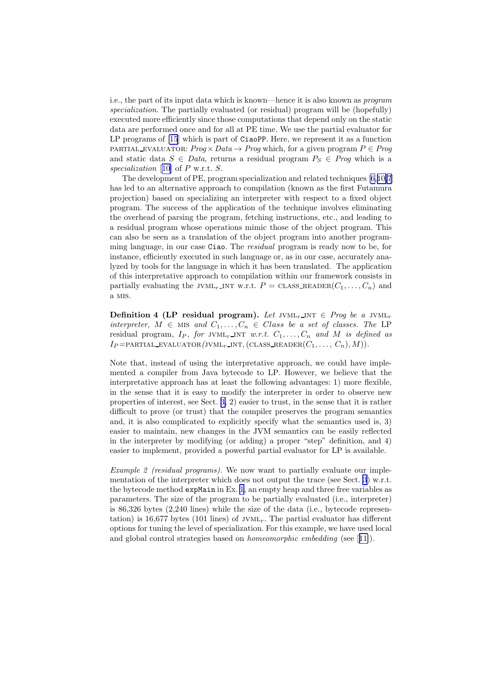i.e., the part of its input data which is known—hence it is also known as *program specialization*. The partially evaluated (or residual) program will be (hopefully) executed more efficiently since those computations that depend only on the static data are performed once and for all at PE time. We use the partial evaluator for LP programs of [\[15](#page-15-0)] which is part of CiaoPP. Here, we represent it as a function **PARTIAL EVALUATOR:**  $Proq \times Data \rightarrow Proq$  which, for a given program  $P \in Proq$ and static data  $S \in Data$ , returns a residual program  $P_S \in Program$  which is a *specialization* [[10\]](#page-15-0) of P w.r.t. S.

The development of PE, program specialization and related techniques[[6,10,7](#page-15-0)] has led to an alternative approach to compilation (known as the first Futamura projection) based on specializing an interpreter with respect to a fixed object program. The success of the application of the technique involves eliminating the overhead of parsing the program, fetching instructions, etc., and leading to a residual program whose operations mimic those of the object program. This can also be seen as a translation of the object program into another programming language, in our case Ciao. The *residual* program is ready now to be, for instance, efficiently executed in such language or, as in our case, accurately analyzed by tools for the language in which it has been translated. The application of this interpretative approach to compilation within our framework consists in partially evaluating the JVML<sub>r</sub> INT w.r.t.  $P = \text{CLASS\_READER}(C_1, \ldots, C_n)$  and a mis.

**Definition 4 (LP residual program).** Let  $JVML_r$  INT  $\in$  *Prog be a*  $JVML_r$ *interpreter,*  $M \in \text{MIS}$  *and*  $C_1, \ldots, C_n \in Class$  *be a set of classes. The* LP residual program,  $I_P$ , for JVML<sub>r</sub>\_INT w.r.t.  $C_1, \ldots, C_n$  and M is defined as  $I_P$  = PARTIAL EVALUATOR (JVML<sub>r</sub> INT, (CLASS READER $(C_1, \ldots, C_n), M$ )).

Note that, instead of using the interpretative approach, we could have implemented a compiler from Java bytecode to LP. However, we believe that the interpretative approach has at least the following advantages: 1) more flexible, in the sense that it is easy to modify the interpreter in order to observe new properties of interest, see Sect. [3,](#page-6-0) 2) easier to trust, in the sense that it is rather difficult to prove (or trust) that the compiler preserves the program semantics and, it is also complicated to explicitly specify what the semantics used is, 3) easier to maintain, new changes in the JVM semantics can be easily reflected in the interpreter by modifying (or adding) a proper "step" definition, and 4) easier to implement, provided a powerful partial evaluator for LP is available.

*Example 2 (residual programs).* We now want to partially evaluate our implementation of the interpreter which does not output the trace (see Sect. [3](#page-6-0)) w.r.t. the bytecode method expMain in Ex. [1](#page-4-0), an empty heap and three free variables as parameters. The size of the program to be partially evaluated (i.e., interpreter) is 86,326 bytes (2,240 lines) while the size of the data (i.e., bytecode representation) is 16,677 bytes (101 lines) of  $JVML_r$ . The partial evaluator has different options for tuning the level of specialization. For this example, we have used local and global control strategies based on *homeomorphic embedding* (see[[11\]](#page-15-0)).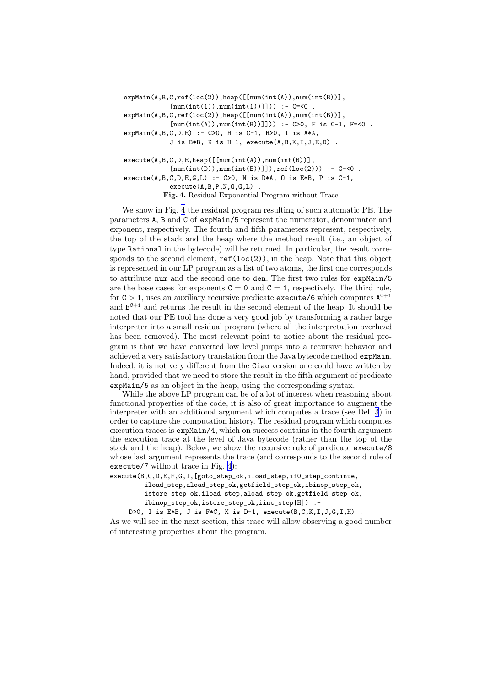```
expMain(A,B,C,ref(loc(2)),heap([[num(int(A)),num(int(B))],
            [num(int(1)),num(int(1))]]) :- C=<0.
expMain(A,B,C,ref(loc(2)),heap([[num(int(A)),num(int(B))],
            [num(int(A)),num(int(B))]])) :- C>0, F is C-1, F=<0.
expMain(A, B, C, D, E) :- C>0, H is C-1, H>0, I is A*A,
            J is B*B, K is H-1, execute(A,B,K,I,J,E,D) .
execute(A,B,C,D,E,heap([[num(int(A)),num(int(B))],
            [num(int(D)),num(int(E))]]),ref(loc(2))): - C=<0.
execute(A, B, C, D, E, G, L) :- C>0, N is D*A, 0 is E*B, P is C-1,execute(A,B,P,N,O,G,L) .
          Fig. 4. Residual Exponential Program without Trace
```
We show in Fig. 4 the residual program resulting of such automatic PE. The parameters A, B and C of expMain/5 represent the numerator, denominator and exponent, respectively. The fourth and fifth parameters represent, respectively, the top of the stack and the heap where the method result (i.e., an object of type Rational in the bytecode) will be returned. In particular, the result corresponds to the second element,  $ref(loc(2))$ , in the heap. Note that this object is represented in our LP program as a list of two atoms, the first one corresponds to attribute num and the second one to den. The first two rules for expMain/5 are the base cases for exponents  $C = 0$  and  $C = 1$ , respectively. The third rule, for  $C > 1$ , uses an auxiliary recursive predicate execute/6 which computes  $A^{C+1}$ and  $B^{C+1}$  and returns the result in the second element of the heap. It should be noted that our PE tool has done a very good job by transforming a rather large interpreter into a small residual program (where all the interpretation overhead has been removed). The most relevant point to notice about the residual program is that we have converted low level jumps into a recursive behavior and achieved a very satisfactory translation from the Java bytecode method expMain. Indeed, it is not very different from the Ciao version one could have written by hand, provided that we need to store the result in the fifth argument of predicate expMain/5 as an object in the heap, using the corresponding syntax.

While the above LP program can be of a lot of interest when reasoning about functional properties of the code, it is also of great importance to augment the interpreter with an additional argument which computes a trace (see Def. [3](#page-7-0)) in order to capture the computation history. The residual program which computes execution traces is expMain/4, which on success contains in the fourth argument the execution trace at the level of Java bytecode (rather than the top of the stack and the heap). Below, we show the recursive rule of predicate execute/8 whose last argument represents the trace (and corresponds to the second rule of execute/7 without trace in Fig. 4):

```
execute(B,C,D,E,F,G,I,[goto_step_ok,iload_step,if0_step_continue,
        iload_step,aload_step_ok,getfield_step_ok,ibinop_step_ok,
        istore_step_ok,iload_step,aload_step_ok,getfield_step_ok,
        ibinop_step_ok,istore_step_ok,iinc_step|H]) :-
```
D>0, I is E\*B, J is F\*C, K is D-1, execute(B,C,K,I,J,G,I,H) .

As we will see in the next section, this trace will allow observing a good number of interesting properties about the program.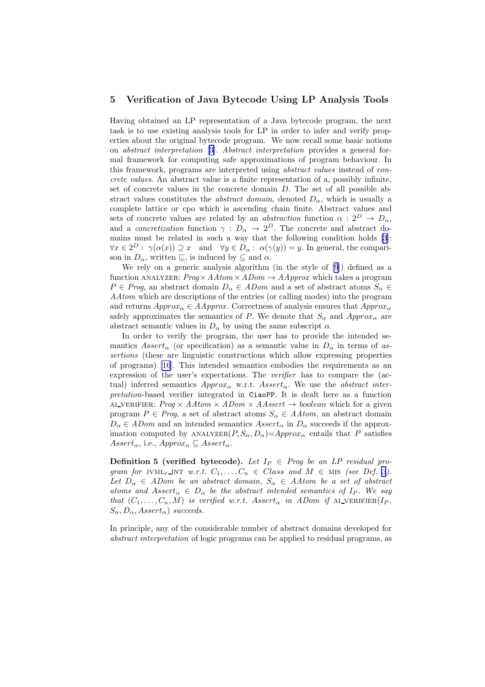#### <span id="page-10-0"></span>5 Verification of Java Bytecode Using LP Analysis Tools

Having obtained an LP representation of a Java bytecode program, the next task is to use existing analysis tools for LP in order to infer and verify properties about the original bytecode program. We now recall some basic notions on *abstract interpretation* [\[3\]](#page-15-0). *Abstract interpretation* provides a general formal framework for computing safe approximations of program behaviour. In this framework, programs are interpreted using *abstract values* instead of *concrete values*. An abstract value is a finite representation of a, possibly infinite, set of concrete values in the concrete domain D. The set of all possible abstract values constitutes the *abstract domain*, denoted  $D_{\alpha}$ , which is usually a complete lattice or cpo which is ascending chain finite. Abstract values and sets of concrete values are related by an *abstraction* function  $\alpha : 2^D \rightarrow D_\alpha$ , and a *concretization* function  $\gamma : D_{\alpha} \to 2^{D}$ . The concrete and abstract domains must be related in such a way that the following condition holds [\[3](#page-15-0)]:  $\forall x \in 2^D : \gamma(\alpha(x)) \supseteq x$  and  $\forall y \in D_\alpha : \alpha(\gamma(y)) = y$ . In general, the comparison in  $D_{\alpha}$ , written  $\sqsubseteq$ , is induced by  $\subseteq$  and  $\alpha$ .

We rely on a generic analysis algorithm (in the style of [\[9](#page-15-0)]) defined as a function ANALYZER:  $Prog \times AAtom \times ADom \rightarrow AApprox$  which takes a program  $P \in Prog$ , an abstract domain  $D_{\alpha} \in ADom$  and a set of abstract atoms  $S_{\alpha} \in$ *AAtom* which are descriptions of the entries (or calling modes) into the program and returns  $Approx_{\alpha} \in AApprox$ . Correctness of analysis ensures that  $Approx_{\alpha}$ safely approximates the semantics of P. We denote that  $S_{\alpha}$  and  $Approx_{\alpha}$  are abstract semantic values in  $D_{\alpha}$  by using the same subscript  $\alpha$ .

In order to verify the program, the user has to provide the intended semantics  $\text{assert}_\alpha$  (or specification) as a semantic value in  $D_\alpha$  in terms of as*sertions* (these are linguistic constructions which allow expressing properties of programs) [\[16](#page-15-0)]. This intended semantics embodies the requirements as an expression of the user's expectations. The *verifier* has to compare the (actual) inferred semantics  $Approx_{\alpha}$  w.r.t.  $assert_{\alpha}$ . We use the *abstract interpretation*-based verifier integrated in CiaoPP. It is dealt here as a function ALVERIFIER:  $Prog \times AAtom \times ADom \times AAssert \rightarrow boolean$  which for a given program  $P \in Prog$ , a set of abstract atoms  $S_{\alpha} \in AAtom$ , an abstract domain  $D_{\alpha} \in ADom$  and an intended semantics  $\text{assert}_{\alpha}$  in  $D_{\alpha}$  succeeds if the approximation computed by  $ANALYZER(P, S_{\alpha}, D_{\alpha})=Approx_{\alpha}$  entails that P satisfies  $\Lambda$ ssert<sub>α</sub>, i.e.,  $\Lambda$ ppro $x_{\alpha} \sqsubseteq \Lambda$ ssert<sub>α</sub>.

**Definition 5 (verified bytecode).** Let  $I_P \in Prog$  be an LP residual pro*gram for* JVML<sub>r</sub>\_INT  $w.r.t.$   $C_1, \ldots, C_n \in Class \ and \ M \in \text{MIS}$  (see Def. [3](#page-7-0)). Let  $D_{\alpha} \in$  *ADom be an abstract domain,*  $S_{\alpha} \in$  *AAtom be a set of abstract atoms and Assert*<sub> $\alpha \in D_{\alpha}$  *be the abstract intended semantics of Ip. We say*</sub> *that*  $(C_1, \ldots, C_n, M)$  *is verified w.r.t.* Assert<sub> $\alpha$ </sub> *in ADom if* ALVERIFIER(I<sub>P</sub>,  $S_{\alpha}, D_{\alpha}, A \text{ssert}_{\alpha}$  *succeeds.* 

In principle, any of the considerable number of abstract domains developed for *abstract interpretation* of logic programs can be applied to residual programs, as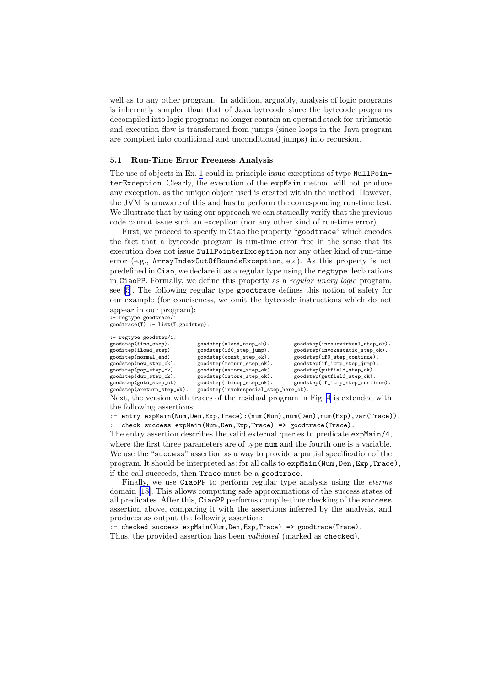<span id="page-11-0"></span>well as to any other program. In addition, arguably, analysis of logic programs is inherently simpler than that of Java bytecode since the bytecode programs decompiled into logic programs no longer contain an operand stack for arithmetic and execution flow is transformed from jumps (since loops in the Java program are compiled into conditional and unconditional jumps) into recursion.

#### 5.1 Run-Time Error Freeness Analysis

The use of objects in Ex. [1](#page-4-0) could in principle issue exceptions of type NullPointerException. Clearly, the execution of the expMain method will not produce any exception, as the unique object used is created within the method. However, the JVM is unaware of this and has to perform the corresponding run-time test. We illustrate that by using our approach we can statically verify that the previous code cannot issue such an exception (nor any other kind of run-time error).

First, we proceed to specify in Ciao the property "goodtrace" which encodes the fact that a bytecode program is run-time error free in the sense that its execution does not issue NullPointerException nor any other kind of run-time error (e.g., ArrayIndexOutOfBoundsException, etc). As this property is not predefined in Ciao, we declare it as a regular type using the regtype declarations in CiaoPP. Formally, we define this property as a *regular unary logic* program, see [\[5](#page-15-0)]. The following regular type goodtrace defines this notion of safety for our example (for conciseness, we omit the bytecode instructions which do not appear in our program):

:- regtype goodtrace/1. goodtrace(T) :- list(T,goodstep).

```
:- regtype goodstep/1.
```

| goodstep(iinc_step).       | goodstep(aload_step_ok).              | goodstep(invokevirtual_step_ok). |
|----------------------------|---------------------------------------|----------------------------------|
| goodstep(iload_step).      | goodstep(if0_step_jump).              | goodstep(invokestatic_step_ok).  |
| goodstep(normal_end).      | goodstep(const_step_ok).              | goodstep(if0_step_continue).     |
| goodstep(new_step_ok).     | goodstep(return_step_ok).             | goodstep(if_icmp_step_jump).     |
| goodstep(pop_step_ok).     | goodstep(astore_step_ok).             | goodstep(putfield_step_ok).      |
| goodstep(dup_step_ok).     | goodstep(istore_step_ok).             | goodstep(getfield_step_ok).      |
| goodstep(goto_step_ok).    | goodstep(ibinop_step_ok).             | goodstep(if_icmp_step_continue). |
| goodstep(areturn_step_ok). | goodstep(invokespecial_step_here_ok). |                                  |
|                            |                                       |                                  |

Next, the version with traces of the residual program in Fig. [4](#page-9-0) is extended with the following assertions:

:- entry expMain(Num,Den,Exp,Trace):(num(Num),num(Den),num(Exp),var(Trace)). :- check success expMain(Num,Den,Exp,Trace) => goodtrace(Trace).

The entry assertion describes the valid external queries to predicate expMain/4, where the first three parameters are of type num and the fourth one is a variable. We use the "success" assertion as a way to provide a partial specification of the program. It should be interpreted as: for all calls to  $expMain(Num, Den, Exp, Trace)$ , if the call succeeds, then Trace must be a goodtrace.

Finally, we use CiaoPP to perform regular type analysis using the *eterms* domain[[18\]](#page-15-0). This allows computing safe approximations of the success states of all predicates. After this, CiaoPP performs compile-time checking of the success assertion above, comparing it with the assertions inferred by the analysis, and produces as output the following assertion:

:- checked success expMain(Num,Den,Exp,Trace) => goodtrace(Trace). Thus, the provided assertion has been *validated* (marked as checked).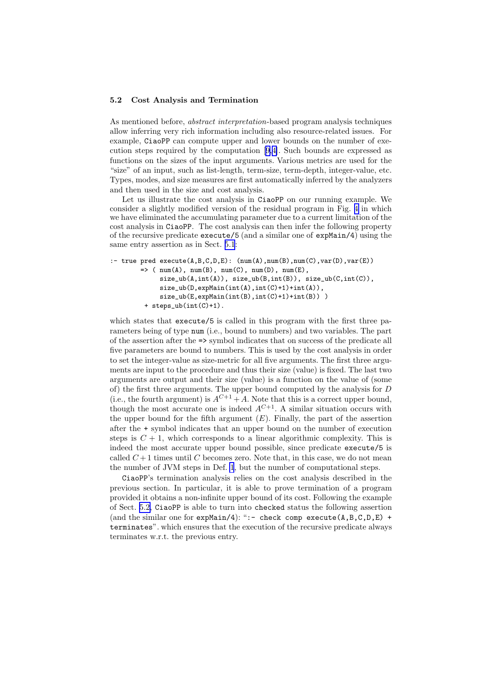#### 5.2 Cost Analysis and Termination

As mentioned before, *abstract interpretation*-based program analysis techniques allow inferring very rich information including also resource-related issues. For example, CiaoPP can compute upper and lower bounds on the number of execution steps required by the computation [\[9,4\]](#page-15-0). Such bounds are expressed as functions on the sizes of the input arguments. Various metrics are used for the "size" of an input, such as list-length, term-size, term-depth, integer-value, etc. Types, modes, and size measures are first automatically inferred by the analyzers and then used in the size and cost analysis.

Let us illustrate the cost analysis in CiaoPP on our running example. We consider a slightly modified version of the residual program in Fig. [4](#page-9-0) in which we have eliminated the accumulating parameter due to a current limitation of the cost analysis in CiaoPP. The cost analysis can then infer the following property of the recursive predicate execute/5 (and a similar one of expMain/4) using the same entry assertion as in Sect. [5.1](#page-11-0):

```
:- true pred execute(A, B, C, D, E): (num(A), num(B), num(C), var(D), var(E))\Rightarrow ( num(A), num(B), num(C), num(D), num(E),
             size_ub(A,int(A)), size_ub(B,int(B)), size_ub(C,int(C)),
             size_ub(D,expMain(int(A),int(C)+1)+int(A)),
             size_ub(E,expMain(int(B),int(C)+1)+int(B))))
         + steps_ub(int(C)+1).
```
which states that execute/5 is called in this program with the first three parameters being of type num (i.e., bound to numbers) and two variables. The part of the assertion after the => symbol indicates that on success of the predicate all five parameters are bound to numbers. This is used by the cost analysis in order to set the integer-value as size-metric for all five arguments. The first three arguments are input to the procedure and thus their size (value) is fixed. The last two arguments are output and their size (value) is a function on the value of (some of) the first three arguments. The upper bound computed by the analysis for D (i.e., the fourth argument) is  $A^{C+1} + A$ . Note that this is a correct upper bound, though the most accurate one is indeed  $A^{C+1}$ . A similar situation occurs with the upper bound for the fifth argument  $(E)$ . Finally, the part of the assertion after the + symbol indicates that an upper bound on the number of execution steps is  $C + 1$ , which corresponds to a linear algorithmic complexity. This is indeed the most accurate upper bound possible, since predicate execute/5 is called  $C+1$  times until C becomes zero. Note that, in this case, we do not mean the number of JVM steps in Def. [1](#page-6-0), but the number of computational steps.

CiaoPP's termination analysis relies on the cost analysis described in the previous section. In particular, it is able to prove termination of a program provided it obtains a non-infinite upper bound of its cost. Following the example of Sect. 5.2, CiaoPP is able to turn into checked status the following assertion (and the similar one for  $expMain/4$ ): ":- check comp execute( $A, B, C, D, E$ ) + terminates". which ensures that the execution of the recursive predicate always terminates w.r.t. the previous entry.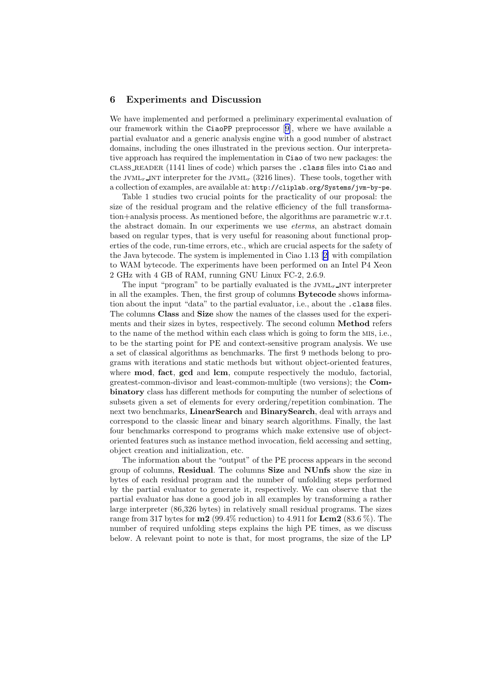### 6 Experiments and Discussion

We have implemented and performed a preliminary experimental evaluation of our framework within the CiaoPP preprocessor[[9\]](#page-15-0), where we have available a partial evaluator and a generic analysis engine with a good number of abstract domains, including the ones illustrated in the previous section. Our interpretative approach has required the implementation in Ciao of two new packages: the class reader (1141 lines of code) which parses the .class files into Ciao and the JVML<sub>r</sub> INT interpreter for the JVML<sub>r</sub> (3216 lines). These tools, together with a collection of examples, are available at: http://cliplab.org/Systems/jvm-by-pe.

Table 1 studies two crucial points for the practicality of our proposal: the size of the residual program and the relative efficiency of the full transformation+analysis process. As mentioned before, the algorithms are parametric w.r.t. the abstract domain. In our experiments we use *eterms*, an abstract domain based on regular types, that is very useful for reasoning about functional properties of the code, run-time errors, etc., which are crucial aspects for the safety of the Java bytecode. The system is implemented in Ciao 1.13[[2\]](#page-15-0) with compilation to WAM bytecode. The experiments have been performed on an Intel P4 Xeon 2 GHz with 4 GB of RAM, running GNU Linux FC-2, 2.6.9.

The input "program" to be partially evaluated is the  $JVML_r_NNT$  interpreter in all the examples. Then, the first group of columns Bytecode shows information about the input "data" to the partial evaluator, i.e., about the .class files. The columns Class and Size show the names of the classes used for the experiments and their sizes in bytes, respectively. The second column Method refers to the name of the method within each class which is going to form the mis, i.e., to be the starting point for PE and context-sensitive program analysis. We use a set of classical algorithms as benchmarks. The first 9 methods belong to programs with iterations and static methods but without object-oriented features, where **mod**, **fact**, **gcd** and **lcm**, compute respectively the modulo, factorial, greatest-common-divisor and least-common-multiple (two versions); the Combinatory class has different methods for computing the number of selections of subsets given a set of elements for every ordering/repetition combination. The next two benchmarks, LinearSearch and BinarySearch, deal with arrays and correspond to the classic linear and binary search algorithms. Finally, the last four benchmarks correspond to programs which make extensive use of objectoriented features such as instance method invocation, field accessing and setting, object creation and initialization, etc.

The information about the "output" of the PE process appears in the second group of columns, Residual. The columns Size and NUnfs show the size in bytes of each residual program and the number of unfolding steps performed by the partial evaluator to generate it, respectively. We can observe that the partial evaluator has done a good job in all examples by transforming a rather large interpreter (86,326 bytes) in relatively small residual programs. The sizes range from 317 bytes for  $m2$  (99.4% reduction) to 4.911 for Lcm2 (83.6 %). The number of required unfolding steps explains the high PE times, as we discuss below. A relevant point to note is that, for most programs, the size of the LP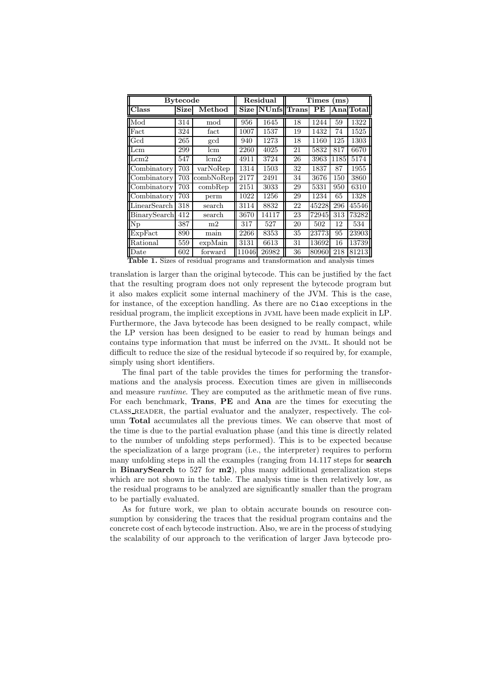| <b>Bytecode</b>                 |      | Residual      |       | <b>Times</b><br>$\rm (ms)$ |              |       |      |           |
|---------------------------------|------|---------------|-------|----------------------------|--------------|-------|------|-----------|
| Class                           | Size | Method        | Size  | <b>NUnfs</b>               | <b>Trans</b> | PE    |      | AnalTotal |
| Mod                             | 314  | mod           | 956   | 1645                       | 18           | 1244  | 59   | 1322      |
| Fact                            | 324  | $_{\rm fact}$ | 1007  | 1537                       | 19           | 1432  | 74   | 1525      |
| $\rm{Gcd}$                      | 265  | gcd           | 940   | 1273                       | 18           | 1160  | 125  | 1303      |
| Lcm                             | 299  | lcm           | 2260  | 4025                       | 21           | 5832  | 817  | 6670      |
| ${\rm Lcm2}$                    | 547  | lcm2          | 4911  | 3724                       | 26           | 3963  | 1185 | 5174      |
| Combinatory                     | 703  | varNoRep      | 1314  | 1503                       | 32           | 1837  | 87   | 1955      |
| $\overline{\text{Combinatory}}$ | 703  | combNoRep     | 2177  | 2491                       | 34           | 3676  | 150  | 3860      |
| Combinatory                     | 703  | combRep       | 2151  | 3033                       | 29           | 5331  | 950  | 6310      |
| Combinatory                     | 703  | perm          | 1022  | 1256                       | 29           | 1234  | 65   | 1328      |
| LinearSearch                    | 318  | search        | 3114  | 8832                       | 22           | 45228 | 296  | 45546     |
| BinarySearch                    | 412  | search        | 3670  | 14117                      | 23           | 72945 | 313  | 73282     |
| Np                              | 387  | m2            | 317   | 527                        | 20           | 502   | 12   | 534       |
| ExpFact                         | 890  | main          | 2266  | 8353                       | 35           | 23773 | 95   | 23903     |
| Rational                        | 559  | expMain       | 3131  | 6613                       | 31           | 13692 | 16   | 13739     |
| Date                            | 602  | forward       | 11046 | 26982                      | 36           | 80960 | 218  | 81213     |

Table 1. Sizes of residual programs and transformation and analysis times

translation is larger than the original bytecode. This can be justified by the fact that the resulting program does not only represent the bytecode program but it also makes explicit some internal machinery of the JVM. This is the case, for instance, of the exception handling. As there are no Ciao exceptions in the residual program, the implicit exceptions in jvml have been made explicit in LP. Furthermore, the Java bytecode has been designed to be really compact, while the LP version has been designed to be easier to read by human beings and contains type information that must be inferred on the jvml. It should not be difficult to reduce the size of the residual bytecode if so required by, for example, simply using short identifiers.

The final part of the table provides the times for performing the transformations and the analysis process. Execution times are given in milliseconds and measure *runtime*. They are computed as the arithmetic mean of five runs. For each benchmark, Trans, PE and Ana are the times for executing the class reader, the partial evaluator and the analyzer, respectively. The column Total accumulates all the previous times. We can observe that most of the time is due to the partial evaluation phase (and this time is directly related to the number of unfolding steps performed). This is to be expected because the specialization of a large program (i.e., the interpreter) requires to perform many unfolding steps in all the examples (ranging from 14.117 steps for search in BinarySearch to 527 for  $m2$ ), plus many additional generalization steps which are not shown in the table. The analysis time is then relatively low, as the residual programs to be analyzed are significantly smaller than the program to be partially evaluated.

As for future work, we plan to obtain accurate bounds on resource consumption by considering the traces that the residual program contains and the concrete cost of each bytecode instruction. Also, we are in the process of studying the scalability of our approach to the verification of larger Java bytecode pro